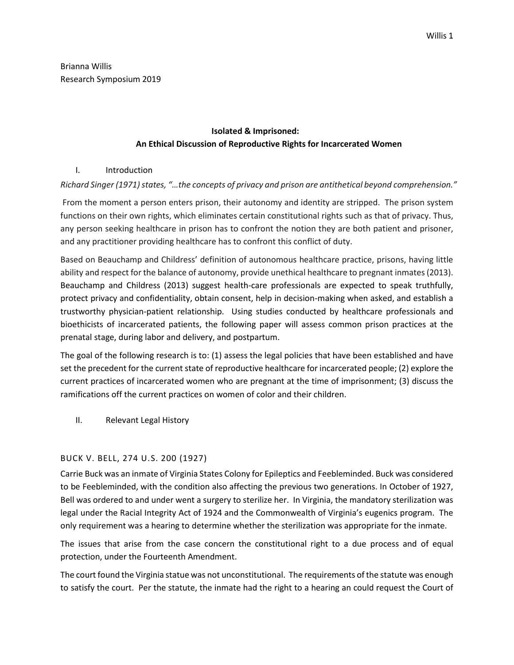Brianna Willis Research Symposium 2019

# **Isolated & Imprisoned: An Ethical Discussion of Reproductive Rights for Incarcerated Women**

## I. Introduction

# *Richard Singer (1971) states, "…the concepts of privacy and prison are antithetical beyond comprehension."*

From the moment a person enters prison, their autonomy and identity are stripped. The prison system functions on their own rights, which eliminates certain constitutional rights such as that of privacy. Thus, any person seeking healthcare in prison has to confront the notion they are both patient and prisoner, and any practitioner providing healthcare has to confront this conflict of duty.

Based on Beauchamp and Childress' definition of autonomous healthcare practice, prisons, having little ability and respect for the balance of autonomy, provide unethical healthcare to pregnant inmates (2013). Beauchamp and Childress (2013) suggest health-care professionals are expected to speak truthfully, protect privacy and confidentiality, obtain consent, help in decision-making when asked, and establish a trustworthy physician-patient relationship. Using studies conducted by healthcare professionals and bioethicists of incarcerated patients, the following paper will assess common prison practices at the prenatal stage, during labor and delivery, and postpartum.

The goal of the following research is to: (1) assess the legal policies that have been established and have set the precedent for the current state of reproductive healthcare for incarcerated people; (2) explore the current practices of incarcerated women who are pregnant at the time of imprisonment; (3) discuss the ramifications off the current practices on women of color and their children.

II. Relevant Legal History

#### BUCK V. BELL, 274 U.S. 200 (1927)

Carrie Buck was an inmate of Virginia States Colony for Epileptics and Feebleminded. Buck was considered to be Feebleminded, with the condition also affecting the previous two generations. In October of 1927, Bell was ordered to and under went a surgery to sterilize her. In Virginia, the mandatory sterilization was legal under the Racial Integrity Act of 1924 and the Commonwealth of Virginia's eugenics program. The only requirement was a hearing to determine whether the sterilization was appropriate for the inmate.

The issues that arise from the case concern the constitutional right to a due process and of equal protection, under the Fourteenth Amendment.

The court found the Virginia statue was not unconstitutional. The requirements of the statute was enough to satisfy the court. Per the statute, the inmate had the right to a hearing an could request the Court of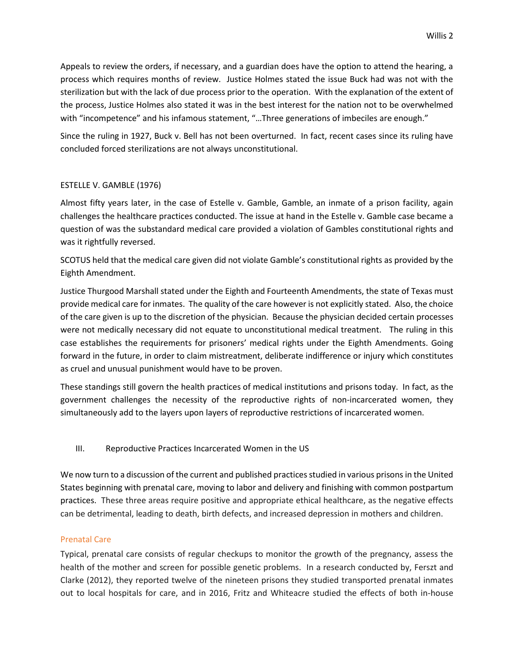Appeals to review the orders, if necessary, and a guardian does have the option to attend the hearing, a process which requires months of review. Justice Holmes stated the issue Buck had was not with the sterilization but with the lack of due process prior to the operation. With the explanation of the extent of the process, Justice Holmes also stated it was in the best interest for the nation not to be overwhelmed with "incompetence" and his infamous statement, "...Three generations of imbeciles are enough."

Since the ruling in 1927, Buck v. Bell has not been overturned. In fact, recent cases since its ruling have concluded forced sterilizations are not always unconstitutional.

## ESTELLE V. GAMBLE (1976)

Almost fifty years later, in the case of Estelle v. Gamble, Gamble, an inmate of a prison facility, again challenges the healthcare practices conducted. The issue at hand in the Estelle v. Gamble case became a question of was the substandard medical care provided a violation of Gambles constitutional rights and was it rightfully reversed.

SCOTUS held that the medical care given did not violate Gamble's constitutional rights as provided by the Eighth Amendment.

Justice Thurgood Marshall stated under the Eighth and Fourteenth Amendments, the state of Texas must provide medical care for inmates. The quality of the care however is not explicitly stated. Also, the choice of the care given is up to the discretion of the physician. Because the physician decided certain processes were not medically necessary did not equate to unconstitutional medical treatment. The ruling in this case establishes the requirements for prisoners' medical rights under the Eighth Amendments. Going forward in the future, in order to claim mistreatment, deliberate indifference or injury which constitutes as cruel and unusual punishment would have to be proven.

These standings still govern the health practices of medical institutions and prisons today. In fact, as the government challenges the necessity of the reproductive rights of non-incarcerated women, they simultaneously add to the layers upon layers of reproductive restrictions of incarcerated women.

III. Reproductive Practices Incarcerated Women in the US

We now turn to a discussion of the current and published practices studied in various prisons in the United States beginning with prenatal care, moving to labor and delivery and finishing with common postpartum practices. These three areas require positive and appropriate ethical healthcare, as the negative effects can be detrimental, leading to death, birth defects, and increased depression in mothers and children.

#### Prenatal Care

Typical, prenatal care consists of regular checkups to monitor the growth of the pregnancy, assess the health of the mother and screen for possible genetic problems. In a research conducted by, Ferszt and Clarke (2012), they reported twelve of the nineteen prisons they studied transported prenatal inmates out to local hospitals for care, and in 2016, Fritz and Whiteacre studied the effects of both in-house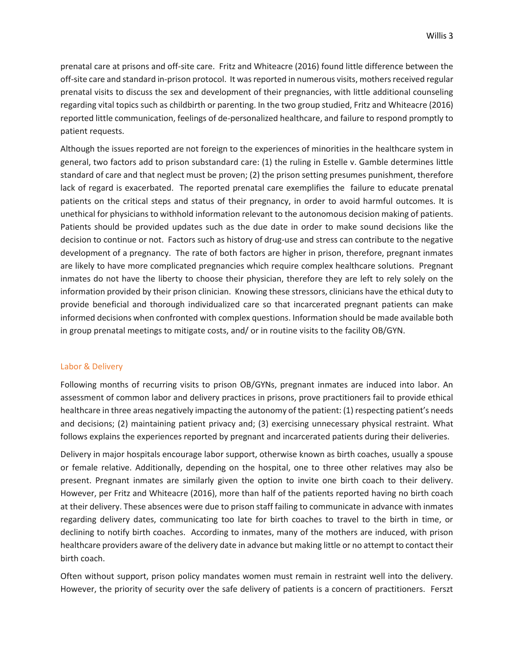prenatal care at prisons and off-site care. Fritz and Whiteacre (2016) found little difference between the off-site care and standard in-prison protocol. It was reported in numerous visits, mothers received regular prenatal visits to discuss the sex and development of their pregnancies, with little additional counseling regarding vital topics such as childbirth or parenting. In the two group studied, Fritz and Whiteacre (2016) reported little communication, feelings of de-personalized healthcare, and failure to respond promptly to patient requests.

Although the issues reported are not foreign to the experiences of minorities in the healthcare system in general, two factors add to prison substandard care: (1) the ruling in Estelle v. Gamble determines little standard of care and that neglect must be proven; (2) the prison setting presumes punishment, therefore lack of regard is exacerbated. The reported prenatal care exemplifies the failure to educate prenatal patients on the critical steps and status of their pregnancy, in order to avoid harmful outcomes. It is unethical for physicians to withhold information relevant to the autonomous decision making of patients. Patients should be provided updates such as the due date in order to make sound decisions like the decision to continue or not. Factors such as history of drug-use and stress can contribute to the negative development of a pregnancy. The rate of both factors are higher in prison, therefore, pregnant inmates are likely to have more complicated pregnancies which require complex healthcare solutions. Pregnant inmates do not have the liberty to choose their physician, therefore they are left to rely solely on the information provided by their prison clinician. Knowing these stressors, clinicians have the ethical duty to provide beneficial and thorough individualized care so that incarcerated pregnant patients can make informed decisions when confronted with complex questions. Information should be made available both in group prenatal meetings to mitigate costs, and/ or in routine visits to the facility OB/GYN.

#### Labor & Delivery

Following months of recurring visits to prison OB/GYNs, pregnant inmates are induced into labor. An assessment of common labor and delivery practices in prisons, prove practitioners fail to provide ethical healthcare in three areas negatively impacting the autonomy of the patient: (1) respecting patient's needs and decisions; (2) maintaining patient privacy and; (3) exercising unnecessary physical restraint. What follows explains the experiences reported by pregnant and incarcerated patients during their deliveries.

Delivery in major hospitals encourage labor support, otherwise known as birth coaches, usually a spouse or female relative. Additionally, depending on the hospital, one to three other relatives may also be present. Pregnant inmates are similarly given the option to invite one birth coach to their delivery. However, per Fritz and Whiteacre (2016), more than half of the patients reported having no birth coach at their delivery. These absences were due to prison staff failing to communicate in advance with inmates regarding delivery dates, communicating too late for birth coaches to travel to the birth in time, or declining to notify birth coaches. According to inmates, many of the mothers are induced, with prison healthcare providers aware of the delivery date in advance but making little or no attempt to contact their birth coach.

Often without support, prison policy mandates women must remain in restraint well into the delivery. However, the priority of security over the safe delivery of patients is a concern of practitioners. Ferszt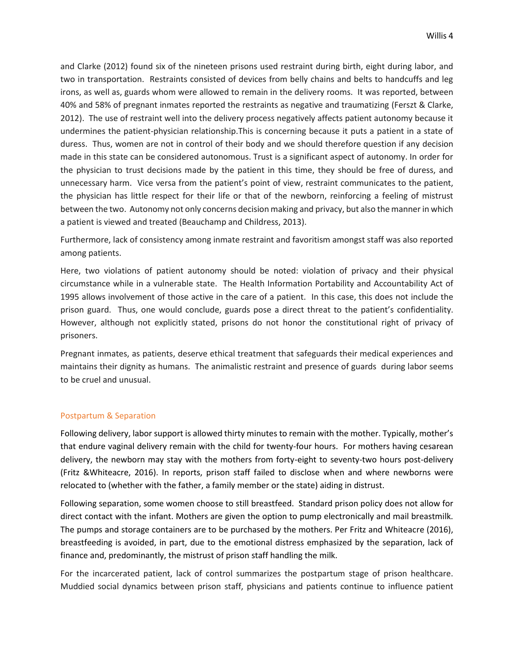and Clarke (2012) found six of the nineteen prisons used restraint during birth, eight during labor, and two in transportation. Restraints consisted of devices from belly chains and belts to handcuffs and leg irons, as well as, guards whom were allowed to remain in the delivery rooms. It was reported, between 40% and 58% of pregnant inmates reported the restraints as negative and traumatizing (Ferszt & Clarke, 2012). The use of restraint well into the delivery process negatively affects patient autonomy because it undermines the patient-physician relationship.This is concerning because it puts a patient in a state of duress. Thus, women are not in control of their body and we should therefore question if any decision made in this state can be considered autonomous. Trust is a significant aspect of autonomy. In order for the physician to trust decisions made by the patient in this time, they should be free of duress, and unnecessary harm. Vice versa from the patient's point of view, restraint communicates to the patient, the physician has little respect for their life or that of the newborn, reinforcing a feeling of mistrust between the two. Autonomy not only concerns decision making and privacy, but also the manner in which a patient is viewed and treated (Beauchamp and Childress, 2013).

Furthermore, lack of consistency among inmate restraint and favoritism amongst staff was also reported among patients.

Here, two violations of patient autonomy should be noted: violation of privacy and their physical circumstance while in a vulnerable state. The Health Information Portability and Accountability Act of 1995 allows involvement of those active in the care of a patient. In this case, this does not include the prison guard. Thus, one would conclude, guards pose a direct threat to the patient's confidentiality. However, although not explicitly stated, prisons do not honor the constitutional right of privacy of prisoners.

Pregnant inmates, as patients, deserve ethical treatment that safeguards their medical experiences and maintains their dignity as humans. The animalistic restraint and presence of guards during labor seems to be cruel and unusual.

#### Postpartum & Separation

Following delivery, labor support is allowed thirty minutes to remain with the mother. Typically, mother's that endure vaginal delivery remain with the child for twenty-four hours. For mothers having cesarean delivery, the newborn may stay with the mothers from forty-eight to seventy-two hours post-delivery (Fritz &Whiteacre, 2016). In reports, prison staff failed to disclose when and where newborns were relocated to (whether with the father, a family member or the state) aiding in distrust.

Following separation, some women choose to still breastfeed. Standard prison policy does not allow for direct contact with the infant. Mothers are given the option to pump electronically and mail breastmilk. The pumps and storage containers are to be purchased by the mothers. Per Fritz and Whiteacre (2016), breastfeeding is avoided, in part, due to the emotional distress emphasized by the separation, lack of finance and, predominantly, the mistrust of prison staff handling the milk.

For the incarcerated patient, lack of control summarizes the postpartum stage of prison healthcare. Muddied social dynamics between prison staff, physicians and patients continue to influence patient